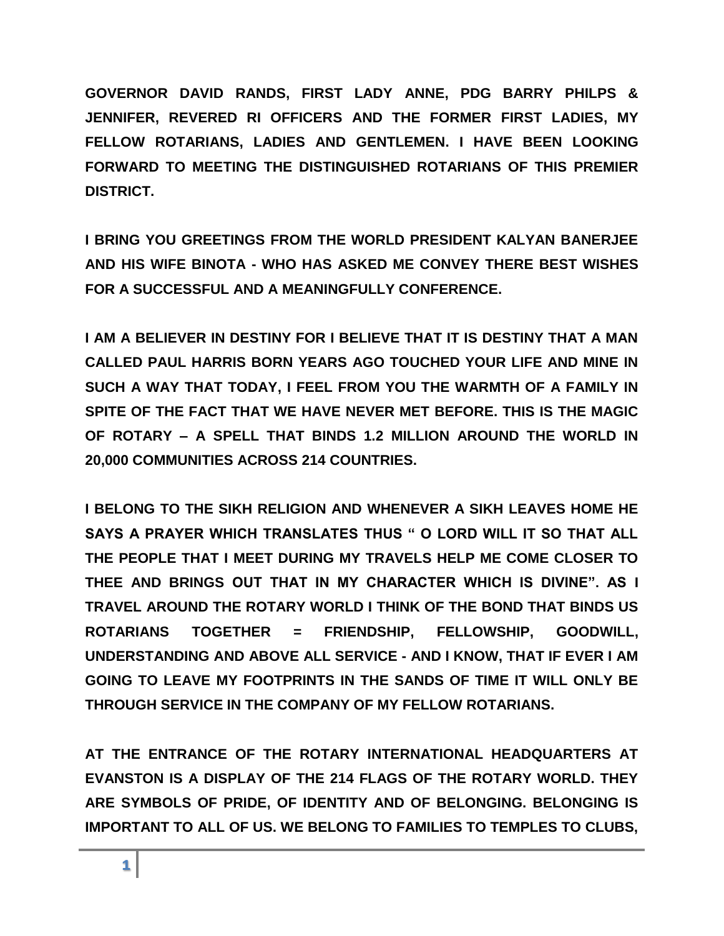**GOVERNOR DAVID RANDS, FIRST LADY ANNE, PDG BARRY PHILPS & JENNIFER, REVERED RI OFFICERS AND THE FORMER FIRST LADIES, MY FELLOW ROTARIANS, LADIES AND GENTLEMEN. I HAVE BEEN LOOKING FORWARD TO MEETING THE DISTINGUISHED ROTARIANS OF THIS PREMIER DISTRICT.** 

**I BRING YOU GREETINGS FROM THE WORLD PRESIDENT KALYAN BANERJEE AND HIS WIFE BINOTA - WHO HAS ASKED ME CONVEY THERE BEST WISHES FOR A SUCCESSFUL AND A MEANINGFULLY CONFERENCE.** 

**I AM A BELIEVER IN DESTINY FOR I BELIEVE THAT IT IS DESTINY THAT A MAN CALLED PAUL HARRIS BORN YEARS AGO TOUCHED YOUR LIFE AND MINE IN SUCH A WAY THAT TODAY, I FEEL FROM YOU THE WARMTH OF A FAMILY IN SPITE OF THE FACT THAT WE HAVE NEVER MET BEFORE. THIS IS THE MAGIC OF ROTARY – A SPELL THAT BINDS 1.2 MILLION AROUND THE WORLD IN 20,000 COMMUNITIES ACROSS 214 COUNTRIES.** 

**I BELONG TO THE SIKH RELIGION AND WHENEVER A SIKH LEAVES HOME HE SAYS A PRAYER WHICH TRANSLATES THUS " O LORD WILL IT SO THAT ALL THE PEOPLE THAT I MEET DURING MY TRAVELS HELP ME COME CLOSER TO THEE AND BRINGS OUT THAT IN MY CHARACTER WHICH IS DIVINE". AS I TRAVEL AROUND THE ROTARY WORLD I THINK OF THE BOND THAT BINDS US ROTARIANS TOGETHER = FRIENDSHIP, FELLOWSHIP, GOODWILL, UNDERSTANDING AND ABOVE ALL SERVICE - AND I KNOW, THAT IF EVER I AM GOING TO LEAVE MY FOOTPRINTS IN THE SANDS OF TIME IT WILL ONLY BE THROUGH SERVICE IN THE COMPANY OF MY FELLOW ROTARIANS.**

**AT THE ENTRANCE OF THE ROTARY INTERNATIONAL HEADQUARTERS AT EVANSTON IS A DISPLAY OF THE 214 FLAGS OF THE ROTARY WORLD. THEY ARE SYMBOLS OF PRIDE, OF IDENTITY AND OF BELONGING. BELONGING IS IMPORTANT TO ALL OF US. WE BELONG TO FAMILIES TO TEMPLES TO CLUBS,**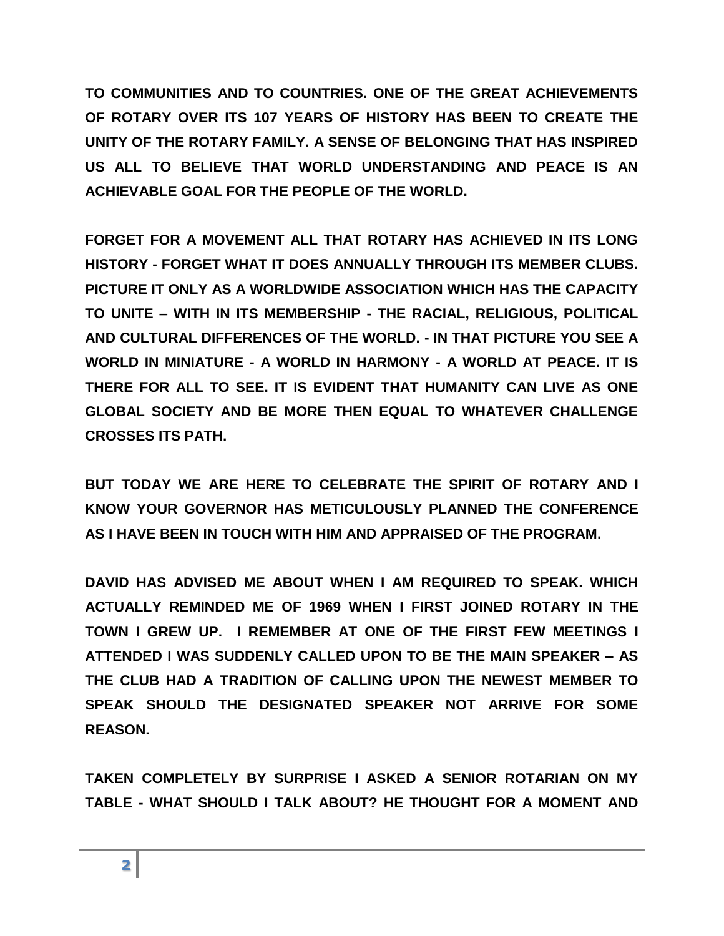**TO COMMUNITIES AND TO COUNTRIES. ONE OF THE GREAT ACHIEVEMENTS OF ROTARY OVER ITS 107 YEARS OF HISTORY HAS BEEN TO CREATE THE UNITY OF THE ROTARY FAMILY. A SENSE OF BELONGING THAT HAS INSPIRED US ALL TO BELIEVE THAT WORLD UNDERSTANDING AND PEACE IS AN ACHIEVABLE GOAL FOR THE PEOPLE OF THE WORLD.** 

**FORGET FOR A MOVEMENT ALL THAT ROTARY HAS ACHIEVED IN ITS LONG HISTORY - FORGET WHAT IT DOES ANNUALLY THROUGH ITS MEMBER CLUBS. PICTURE IT ONLY AS A WORLDWIDE ASSOCIATION WHICH HAS THE CAPACITY TO UNITE – WITH IN ITS MEMBERSHIP - THE RACIAL, RELIGIOUS, POLITICAL AND CULTURAL DIFFERENCES OF THE WORLD. - IN THAT PICTURE YOU SEE A WORLD IN MINIATURE - A WORLD IN HARMONY - A WORLD AT PEACE. IT IS THERE FOR ALL TO SEE. IT IS EVIDENT THAT HUMANITY CAN LIVE AS ONE GLOBAL SOCIETY AND BE MORE THEN EQUAL TO WHATEVER CHALLENGE CROSSES ITS PATH.**

**BUT TODAY WE ARE HERE TO CELEBRATE THE SPIRIT OF ROTARY AND I KNOW YOUR GOVERNOR HAS METICULOUSLY PLANNED THE CONFERENCE AS I HAVE BEEN IN TOUCH WITH HIM AND APPRAISED OF THE PROGRAM.** 

**DAVID HAS ADVISED ME ABOUT WHEN I AM REQUIRED TO SPEAK. WHICH ACTUALLY REMINDED ME OF 1969 WHEN I FIRST JOINED ROTARY IN THE TOWN I GREW UP. I REMEMBER AT ONE OF THE FIRST FEW MEETINGS I ATTENDED I WAS SUDDENLY CALLED UPON TO BE THE MAIN SPEAKER – AS THE CLUB HAD A TRADITION OF CALLING UPON THE NEWEST MEMBER TO SPEAK SHOULD THE DESIGNATED SPEAKER NOT ARRIVE FOR SOME REASON.** 

**TAKEN COMPLETELY BY SURPRISE I ASKED A SENIOR ROTARIAN ON MY TABLE - WHAT SHOULD I TALK ABOUT? HE THOUGHT FOR A MOMENT AND**